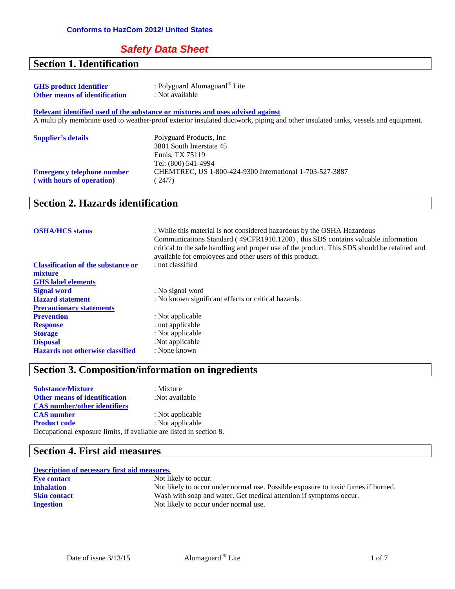#### **Safety Data Sheet**

## **Section 1. Identification**

| <b>GHS</b> product Identifier        | : Polyguard Alumaguard <sup>®</sup> Lite |
|--------------------------------------|------------------------------------------|
| <b>Other means of identification</b> | : Not available                          |

**Relevant identified used of the substance or mixtures and uses advised against** A multi ply membrane used to weather-proof exterior insulated ductwork, piping and other insulated tanks, vessels and equipment.

| <b>Supplier's details</b>         | Polyguard Products, Inc.<br>3801 South Interstate 45<br>Ennis. TX 75119<br>Tel: (800) 541-4994 |
|-----------------------------------|------------------------------------------------------------------------------------------------|
| <b>Emergency telephone number</b> | CHEMTREC, US 1-800-424-9300 International 1-703-527-3887                                       |
| (with hours of operation)         | (24/7)                                                                                         |

#### **Section 2. Hazards identification**

| <b>OSHA/HCS</b> status                    | : While this material is not considered hazardous by the OSHA Hazardous<br>Communications Standard (49CFR1910.1200), this SDS contains valuable information<br>critical to the safe handling and proper use of the product. This SDS should be retained and<br>available for employees and other users of this product. |
|-------------------------------------------|-------------------------------------------------------------------------------------------------------------------------------------------------------------------------------------------------------------------------------------------------------------------------------------------------------------------------|
| <b>Classification of the substance or</b> | : not classified                                                                                                                                                                                                                                                                                                        |
| mixture                                   |                                                                                                                                                                                                                                                                                                                         |
| <b>GHS</b> label elements                 |                                                                                                                                                                                                                                                                                                                         |
| <b>Signal word</b>                        | : No signal word                                                                                                                                                                                                                                                                                                        |
| <b>Hazard statement</b>                   | : No known significant effects or critical hazards.                                                                                                                                                                                                                                                                     |
| <b>Precautionary statements</b>           |                                                                                                                                                                                                                                                                                                                         |
| <b>Prevention</b>                         | : Not applicable                                                                                                                                                                                                                                                                                                        |
| <b>Response</b>                           | : not applicable                                                                                                                                                                                                                                                                                                        |
| <b>Storage</b>                            | : Not applicable                                                                                                                                                                                                                                                                                                        |
| <b>Disposal</b>                           | :Not applicable                                                                                                                                                                                                                                                                                                         |
| <b>Hazards not otherwise classified</b>   | : None known                                                                                                                                                                                                                                                                                                            |

## **Section 3. Composition/information on ingredients**

| <b>Substance/Mixture</b>                                            | $:$ Mixture      |
|---------------------------------------------------------------------|------------------|
| <b>Other means of identification</b>                                | :Not available   |
| <b>CAS</b> number/other identifiers                                 |                  |
| <b>CAS</b> number                                                   | : Not applicable |
| <b>Product code</b>                                                 | : Not applicable |
| Occupational exposure limits, if available are listed in section 8. |                  |

## **Section 4. First aid measures**

#### **Description of necessary first aid measures.**

| <b>Eye contact</b>  | Not likely to occur.                                                              |
|---------------------|-----------------------------------------------------------------------------------|
| <b>Inhalation</b>   | Not likely to occur under normal use. Possible exposure to toxic fumes if burned. |
| <b>Skin contact</b> | Wash with soap and water. Get medical attention if symptoms occur.                |
| <b>Ingestion</b>    | Not likely to occur under normal use.                                             |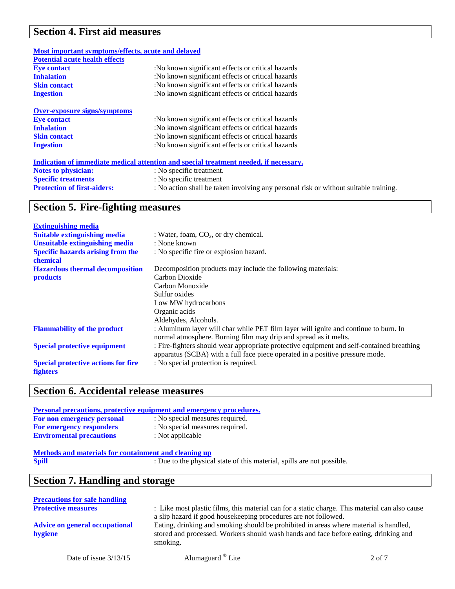# **Section 4. First aid measures**

| Most important symptoms/effects, acute and delayed |                                                                                       |
|----------------------------------------------------|---------------------------------------------------------------------------------------|
| <b>Potential acute health effects</b>              |                                                                                       |
| <b>Eve contact</b>                                 | :No known significant effects or critical hazards                                     |
| <b>Inhalation</b>                                  | :No known significant effects or critical hazards                                     |
| <b>Skin contact</b>                                | :No known significant effects or critical hazards                                     |
| <b>Ingestion</b>                                   | :No known significant effects or critical hazards                                     |
| <b>Over-exposure signs/symptoms</b>                |                                                                                       |
| <b>Eve contact</b>                                 | :No known significant effects or critical hazards                                     |
| <b>Inhalation</b>                                  | :No known significant effects or critical hazards                                     |
| <b>Skin contact</b>                                | :No known significant effects or critical hazards                                     |
| <b>Ingestion</b>                                   | :No known significant effects or critical hazards                                     |
|                                                    | Indication of immediate medical attention and special treatment needed, if necessary. |
| <b>Notes to physician:</b>                         | : No specific treatment.                                                              |
| <b>Specific treatments</b>                         | : No specific treatment                                                               |
| <b>Protection of first-aiders:</b>                 | : No action shall be taken involving any personal risk or without suitable training.  |

# **Section 5. Fire-fighting measures**

| <b>Extinguishing media</b>                                    |                                                                                                                                                                            |
|---------------------------------------------------------------|----------------------------------------------------------------------------------------------------------------------------------------------------------------------------|
| <b>Suitable extinguishing media</b>                           | : Water, foam, $CO2$ , or dry chemical.                                                                                                                                    |
| <b>Unsuitable extinguishing media</b>                         | : None known                                                                                                                                                               |
| <b>Specific hazards arising from the</b><br>chemical          | : No specific fire or explosion hazard.                                                                                                                                    |
| <b>Hazardous thermal decomposition</b>                        | Decomposition products may include the following materials:                                                                                                                |
| <b>products</b>                                               | Carbon Dioxide                                                                                                                                                             |
|                                                               | Carbon Monoxide                                                                                                                                                            |
|                                                               | Sulfur oxides                                                                                                                                                              |
|                                                               | Low MW hydrocarbons                                                                                                                                                        |
|                                                               | Organic acids                                                                                                                                                              |
|                                                               | Aldehydes, Alcohols.                                                                                                                                                       |
| <b>Flammability of the product</b>                            | : Aluminum layer will char while PET film layer will ignite and continue to burn. In<br>normal atmosphere. Burning film may drip and spread as it melts.                   |
| <b>Special protective equipment</b>                           | : Fire-fighters should wear appropriate protective equipment and self-contained breathing<br>apparatus (SCBA) with a full face piece operated in a positive pressure mode. |
| <b>Special protective actions for fire</b><br><b>fighters</b> | : No special protection is required.                                                                                                                                       |

## **Section 6. Accidental release measures**

| <u>Personal precautions, protective equipment and emergency procedures.</u> |                                                                        |  |
|-----------------------------------------------------------------------------|------------------------------------------------------------------------|--|
| For non emergency personal                                                  | : No special measures required.                                        |  |
| <b>For emergency responders</b>                                             | : No special measures required.                                        |  |
| <b>Enviromental precautions</b>                                             | : Not applicable                                                       |  |
| Methods and materials for containment and cleaning up<br><b>Spill</b>       | : Due to the physical state of this material, spills are not possible. |  |

# **Section 7. Handling and storage**

| <b>Precautions for safe handling</b>  |                                                                                                |
|---------------------------------------|------------------------------------------------------------------------------------------------|
| <b>Protective measures</b>            | : Like most plastic films, this material can for a static charge. This material can also cause |
|                                       | a slip hazard if good housekeeping procedures are not followed.                                |
| <b>Advice on general occupational</b> | Eating, drinking and smoking should be prohibited in areas where material is handled,          |
| hygiene                               | stored and processed. Workers should wash hands and face before eating, drinking and           |
|                                       | smoking.                                                                                       |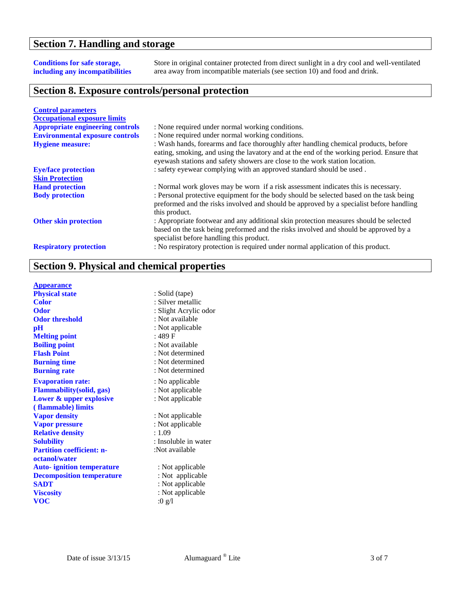#### **Section 7. Handling and storage**

#### **Conditions for safe storage, including any incompatibilities**

Store in original container protected from direct sunlight in a dry cool and well-ventilated area away from incompatible materials (see section 10) and food and drink.

#### **Section 8. Exposure controls/personal protection**

| <b>Control parameters</b>               |                                                                                                                                                                                                                                                                 |
|-----------------------------------------|-----------------------------------------------------------------------------------------------------------------------------------------------------------------------------------------------------------------------------------------------------------------|
| <b>Occupational exposure limits</b>     |                                                                                                                                                                                                                                                                 |
| <b>Appropriate engineering controls</b> | : None required under normal working conditions.                                                                                                                                                                                                                |
| <b>Environmental exposure controls</b>  | : None required under normal working conditions.                                                                                                                                                                                                                |
| <b>Hygiene measure:</b>                 | : Wash hands, forearms and face thoroughly after handling chemical products, before<br>eating, smoking, and using the lavatory and at the end of the working period. Ensure that<br>eyewash stations and safety showers are close to the work station location. |
| <b>Eye/face protection</b>              | : safety eyewear complying with an approved standard should be used.                                                                                                                                                                                            |
| <b>Skin Protection</b>                  |                                                                                                                                                                                                                                                                 |
| <b>Hand protection</b>                  | : Normal work gloves may be worn if a risk assessment indicates this is necessary.                                                                                                                                                                              |
| <b>Body protection</b>                  | : Personal protective equipment for the body should be selected based on the task being<br>preformed and the risks involved and should be approved by a specialist before handling<br>this product.                                                             |
| <b>Other skin protection</b>            | : Appropriate footwear and any additional skin protection measures should be selected<br>based on the task being preformed and the risks involved and should be approved by a<br>specialist before handling this product.                                       |
| <b>Respiratory protection</b>           | : No respiratory protection is required under normal application of this product.                                                                                                                                                                               |

## **Section 9. Physical and chemical properties**

| <b>Appearance</b>                 |                         |
|-----------------------------------|-------------------------|
| <b>Physical state</b>             | : Solid (tape)          |
| <b>Color</b>                      | : Silver metallic       |
| Odor                              | : Slight Acrylic odor   |
| <b>Odor threshold</b>             | : Not available         |
| $\mathbf{p}$ H                    | : Not applicable        |
| <b>Melting point</b>              | : 489 F                 |
| <b>Boiling point</b>              | : Not available         |
| <b>Flash Point</b>                | : Not determined        |
| <b>Burning time</b>               | : Not determined        |
| <b>Burning rate</b>               | : Not determined        |
| <b>Evaporation rate:</b>          | : No applicable         |
| <b>Flammability</b> (solid, gas)  | : Not applicable        |
| Lower & upper explosive           | : Not applicable        |
| (flammable) limits                |                         |
| <b>Vapor density</b>              | : Not applicable        |
| <b>Vapor pressure</b>             | : Not applicable        |
| <b>Relative density</b>           | : 1.09                  |
| <b>Solubility</b>                 | : Insoluble in water    |
| <b>Partition coefficient: n-</b>  | :Not available          |
| octanol/water                     |                         |
| <b>Auto-</b> ignition temperature | : Not applicable        |
| <b>Decomposition temperature</b>  | : Not applicable        |
| <b>SADT</b>                       | : Not applicable        |
| <b>Viscosity</b>                  | : Not applicable        |
| voc                               | $:0 \text{ g}/\text{l}$ |
|                                   |                         |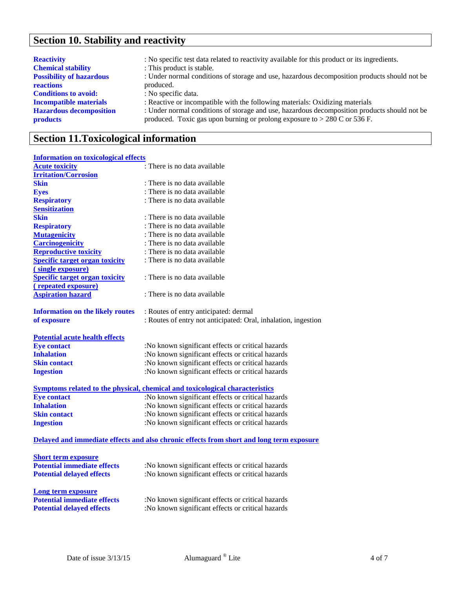# **Section 10. Stability and reactivity**

| <b>Reactivity</b>               | : No specific test data related to reactivity available for this product or its ingredients. |
|---------------------------------|----------------------------------------------------------------------------------------------|
| <b>Chemical stability</b>       | : This product is stable.                                                                    |
| <b>Possibility of hazardous</b> | : Under normal conditions of storage and use, hazardous decomposition products should not be |
| reactions                       | produced.                                                                                    |
| <b>Conditions to avoid:</b>     | : No specific data.                                                                          |
| <b>Incompatible materials</b>   | : Reactive or incompatible with the following materials: Oxidizing materials                 |
| <b>Hazardous decomposition</b>  | : Under normal conditions of storage and use, hazardous decomposition products should not be |
| <b>products</b>                 | produced. Toxic gas upon burning or prolong exposure to $> 280$ C or 536 F.                  |
|                                 |                                                                                              |

# **Section 11.Toxicological information**

#### **Information on toxicological effects**

| <b>Acute toxicity</b>                   | : There is no data available                                                             |
|-----------------------------------------|------------------------------------------------------------------------------------------|
| <b>Irritation/Corrosion</b>             |                                                                                          |
| <b>Skin</b>                             | : There is no data available                                                             |
| <b>Eyes</b>                             | : There is no data available                                                             |
| <b>Respiratory</b>                      | : There is no data available                                                             |
| <b>Sensitization</b>                    |                                                                                          |
| <b>Skin</b>                             | : There is no data available                                                             |
| <b>Respiratory</b>                      | : There is no data available                                                             |
| <b>Mutagenicity</b>                     | : There is no data available                                                             |
| <b>Carcinogenicity</b>                  | : There is no data available                                                             |
| <b>Reproductive toxicity</b>            | : There is no data available                                                             |
| <b>Specific target organ toxicity</b>   | : There is no data available                                                             |
| (single exposure)                       |                                                                                          |
| <b>Specific target organ toxicity</b>   | : There is no data available                                                             |
| <u>(repeated exposure)</u>              |                                                                                          |
| <b>Aspiration hazard</b>                | : There is no data available                                                             |
|                                         |                                                                                          |
| <b>Information on the likely routes</b> | : Routes of entry anticipated: dermal                                                    |
| of exposure                             | : Routes of entry not anticipated: Oral, inhalation, ingestion                           |
|                                         |                                                                                          |
| <b>Potential acute health effects</b>   |                                                                                          |
| <b>Eye contact</b>                      | :No known significant effects or critical hazards                                        |
| <b>Inhalation</b>                       | :No known significant effects or critical hazards                                        |
| <b>Skin contact</b>                     | :No known significant effects or critical hazards                                        |
| <b>Ingestion</b>                        | :No known significant effects or critical hazards                                        |
|                                         | Symptoms related to the physical, chemical and toxicological characteristics             |
| <b>Eye contact</b>                      | :No known significant effects or critical hazards                                        |
| <b>Inhalation</b>                       | :No known significant effects or critical hazards                                        |
| <b>Skin contact</b>                     | :No known significant effects or critical hazards                                        |
| <b>Ingestion</b>                        | :No known significant effects or critical hazards                                        |
|                                         |                                                                                          |
|                                         | Delayed and immediate effects and also chronic effects from short and long term exposure |
|                                         |                                                                                          |
| <b>Short term exposure</b>              |                                                                                          |
| <b>Potential immediate effects</b>      | :No known significant effects or critical hazards                                        |
| <b>Potential delayed effects</b>        | :No known significant effects or critical hazards                                        |
|                                         |                                                                                          |
| <b>Long term exposure</b>               |                                                                                          |
| <b>Potential immediate effects</b>      | :No known significant effects or critical hazards                                        |
| <b>Potential delayed effects</b>        | :No known significant effects or critical hazards                                        |
|                                         |                                                                                          |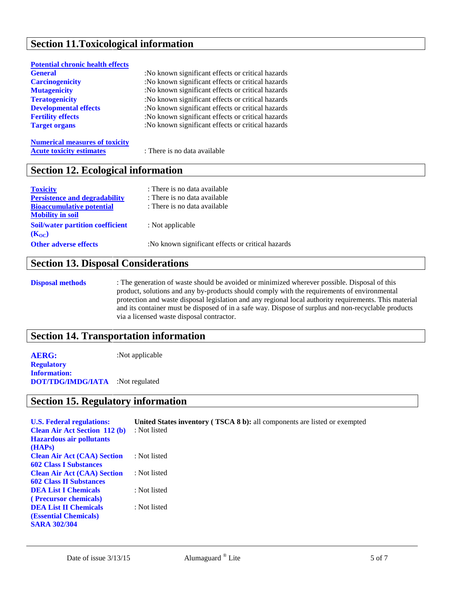#### **Section 11.Toxicological information**

| <b>Potential chronic health effects</b> |                                                   |
|-----------------------------------------|---------------------------------------------------|
| <b>General</b>                          | :No known significant effects or critical hazards |
| <b>Carcinogenicity</b>                  | :No known significant effects or critical hazards |
| <b>Mutagenicity</b>                     | :No known significant effects or critical hazards |
| <b>Teratogenicity</b>                   | :No known significant effects or critical hazards |
| <b>Developmental effects</b>            | :No known significant effects or critical hazards |
| <b>Fertility effects</b>                | :No known significant effects or critical hazards |
| <b>Target organs</b>                    | :No known significant effects or critical hazards |
|                                         |                                                   |
| Mymoriaal measures of tarisity          |                                                   |

**Numerical measures of toxicity Acute toxicity estimates** : There is no data available

#### **Section 12. Ecological information**

| <b>Toxicity</b>                         | : There is no data available                      |
|-----------------------------------------|---------------------------------------------------|
| <b>Persistence and degradability</b>    | : There is no data available                      |
| <b>Bioaccumulative potential</b>        | : There is no data available                      |
| <b>Mobility in soil</b>                 |                                                   |
| <b>Soil/water partition coefficient</b> | : Not applicable                                  |
| $(K_{OC})$                              |                                                   |
| <b>Other adverse effects</b>            | :No known significant effects or critical hazards |
|                                         |                                                   |

#### **Section 13. Disposal Considerations**

**Disposal methods** : The generation of waste should be avoided or minimized wherever possible. Disposal of this product, solutions and any by-products should comply with the requirements of environmental protection and waste disposal legislation and any regional local authority requirements. This material and its container must be disposed of in a safe way. Dispose of surplus and non-recyclable products via a licensed waste disposal contractor.

#### **Section 14. Transportation information**

**AERG:** :Not applicable **Regulatory Information: DOT/TDG/IMDG/IATA** :Not regulated

#### **Section 15. Regulatory information**

| <b>U.S. Federal regulations:</b><br><b>Clean Air Act Section 112 (b)</b><br><b>Hazardous air pollutants</b><br>(HAPs) | <b>United States inventory (TSCA 8 b):</b> all components are listed or exempted<br>: Not listed |
|-----------------------------------------------------------------------------------------------------------------------|--------------------------------------------------------------------------------------------------|
| <b>Clean Air Act (CAA) Section</b><br><b>602 Class I Substances</b>                                                   | : Not listed                                                                                     |
| <b>Clean Air Act (CAA) Section</b>                                                                                    | : Not listed                                                                                     |
| <b>602 Class II Substances</b><br><b>DEA List I Chemicals</b>                                                         | : Not listed                                                                                     |
| (Precursor chemicals)                                                                                                 |                                                                                                  |
| <b>DEA List II Chemicals</b><br>(Essential Chemicals)<br><b>SARA 302/304</b>                                          | : Not listed                                                                                     |